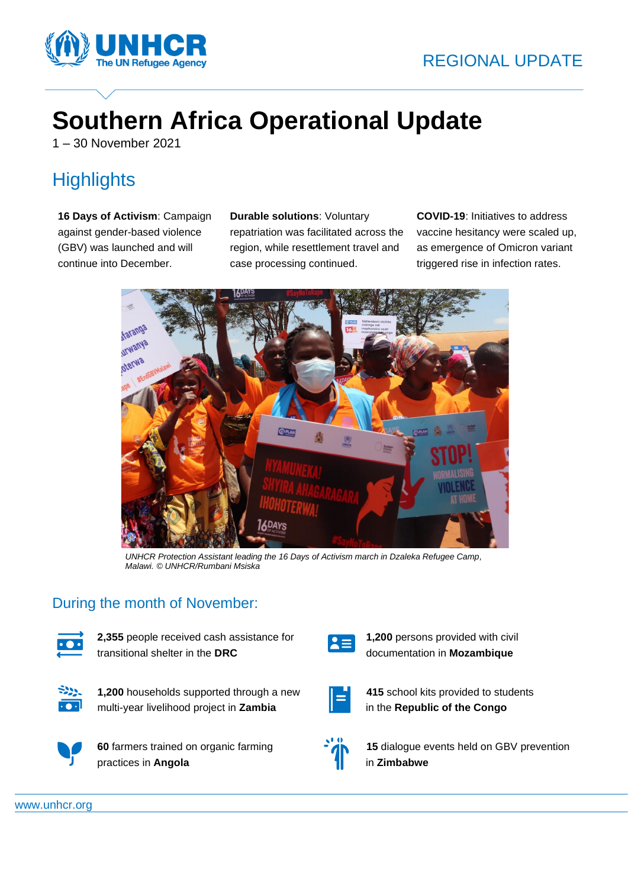

# **Southern Africa Operational Update**

1 – 30 November 2021

# **Highlights**

**16 Days of Activism**: Campaign against gender-based violence (GBV) was launched and will continue into December.

**Durable solutions**: Voluntary repatriation was facilitated across the region, while resettlement travel and case processing continued.

**COVID-19**: Initiatives to address vaccine hesitancy were scaled up, as emergence of Omicron variant triggered rise in infection rates.



*UNHCR Protection Assistant leading the 16 Days of Activism march in Dzaleka Refugee Camp, Malawi. © UNHCR/Rumbani Msiska*

#### During the month of November:



**2,355** people received cash assistance for transitional shelter in the **DRC**



**1,200** households supported through a new multi-year livelihood project in **Zambia**



**60** farmers trained on organic farming practices in **Angola**



**1,200** persons provided with civil documentation in **Mozambique**



**415** school kits provided to students in the **Republic of the Congo**

**15** dialogue events held on GBV prevention in **Zimbabwe**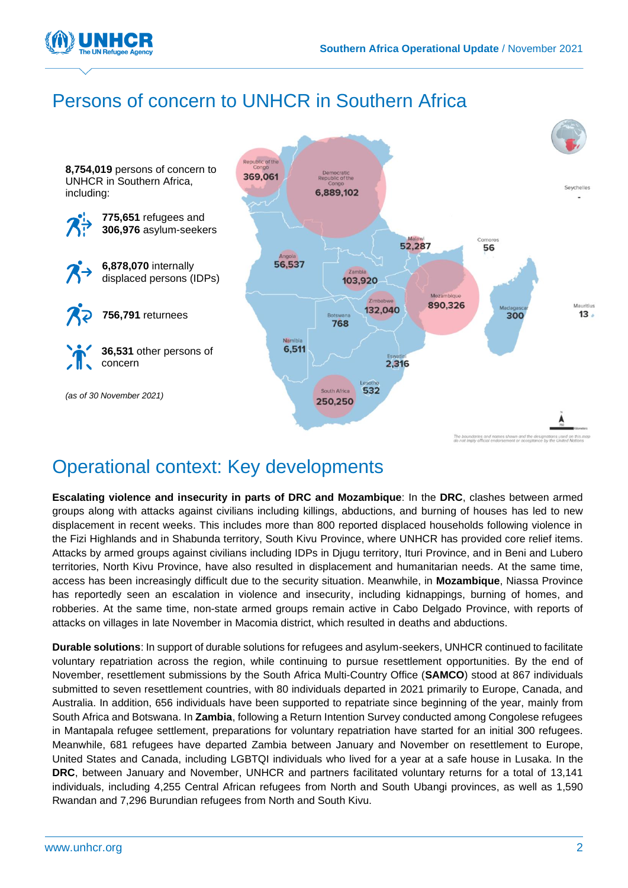

# Persons of concern to UNHCR in Southern Africa



# Operational context: Key developments

**Escalating violence and insecurity in parts of DRC and Mozambique**: In the **DRC**, clashes between armed groups along with attacks against civilians including killings, abductions, and burning of houses has led to new displacement in recent weeks. This includes more than 800 reported displaced households following violence in the Fizi Highlands and in Shabunda territory, South Kivu Province, where UNHCR has provided core relief items. Attacks by armed groups against civilians including IDPs in Djugu territory, Ituri Province, and in Beni and Lubero territories, North Kivu Province, have also resulted in displacement and humanitarian needs. At the same time, access has been increasingly difficult due to the security situation. Meanwhile, in **Mozambique**, Niassa Province has reportedly seen an escalation in violence and insecurity, including kidnappings, burning of homes, and robberies. At the same time, non-state armed groups remain active in Cabo Delgado Province, with reports of attacks on villages in late November in Macomia district, which resulted in deaths and abductions.

**Durable solutions**: In support of durable solutions for refugees and asylum-seekers, UNHCR continued to facilitate voluntary repatriation across the region, while continuing to pursue resettlement opportunities. By the end of November, resettlement submissions by the South Africa Multi-Country Office (**SAMCO**) stood at 867 individuals submitted to seven resettlement countries, with 80 individuals departed in 2021 primarily to Europe, Canada, and Australia. In addition, 656 individuals have been supported to repatriate since beginning of the year, mainly from South Africa and Botswana. In **Zambia**, following a Return Intention Survey conducted among Congolese refugees in Mantapala refugee settlement, preparations for voluntary repatriation have started for an initial 300 refugees. Meanwhile, 681 refugees have departed Zambia between January and November on resettlement to Europe, United States and Canada, including LGBTQI individuals who lived for a year at a safe house in Lusaka. In the **DRC**, between January and November, UNHCR and partners facilitated voluntary returns for a total of 13,141 individuals, including 4,255 Central African refugees from North and South Ubangi provinces, as well as 1,590 Rwandan and 7,296 Burundian refugees from North and South Kivu.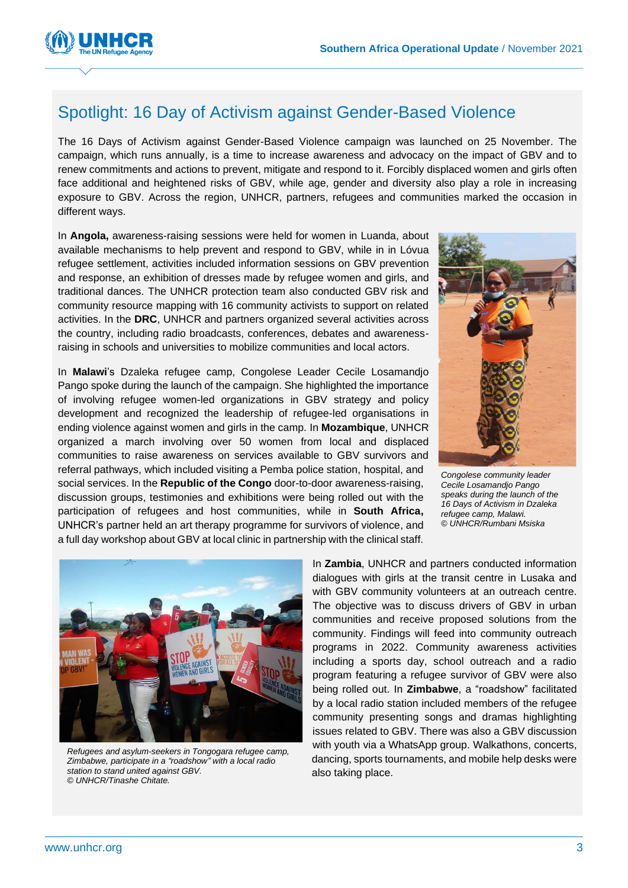

#### Spotlight: 16 Day of Activism against Gender-Based Violence

The 16 Days of Activism against Gender-Based Violence campaign was launched on 25 November. The campaign, which runs annually, is a time to increase awareness and advocacy on the impact of GBV and to renew commitments and actions to prevent, mitigate and respond to it. Forcibly displaced women and girls often face additional and heightened risks of GBV, while age, gender and diversity also play a role in increasing exposure to GBV. Across the region, UNHCR, partners, refugees and communities marked the occasion in different ways.

In **Angola,** awareness-raising sessions were held for women in Luanda, about available mechanisms to help prevent and respond to GBV, while in in Lóvua refugee settlement, activities included information sessions on GBV prevention and response, an exhibition of dresses made by refugee women and girls, and traditional dances. The UNHCR protection team also conducted GBV risk and community resource mapping with 16 community activists to support on related activities. In the **DRC**, UNHCR and partners organized several activities across the country, including radio broadcasts, conferences, debates and awarenessraising in schools and universities to mobilize communities and local actors.

In **Malawi**'s Dzaleka refugee camp, Congolese Leader Cecile Losamandjo Pango spoke during the launch of the campaign. She highlighted the importance of involving refugee women-led organizations in GBV strategy and policy development and recognized the leadership of refugee-led organisations in ending violence against women and girls in the camp. In **Mozambique**, UNHCR organized a march involving over 50 women from local and displaced communities to raise awareness on services available to GBV survivors and referral pathways, which included visiting a Pemba police station, hospital, and social services. In the **Republic of the Congo** door-to-door awareness-raising, discussion groups, testimonies and exhibitions were being rolled out with the participation of refugees and host communities, while in **South Africa,**  UNHCR's partner held an art therapy programme for survivors of violence, and a full day workshop about GBV at local clinic in partnership with the clinical staff.



*Congolese community leader Cecile Losamandjo Pango speaks during the launch of the 16 Days of Activism in Dzaleka refugee camp, Malawi. © UNHCR/Rumbani Msiska*



*Refugees and asylum-seekers in Tongogara refugee camp, Zimbabwe, participate in a "roadshow" with a local radio station to stand united against GBV. © UNHCR/Tinashe Chitate.*

In **Zambia**, UNHCR and partners conducted information dialogues with girls at the transit centre in Lusaka and with GBV community volunteers at an outreach centre. The objective was to discuss drivers of GBV in urban communities and receive proposed solutions from the community. Findings will feed into community outreach programs in 2022. Community awareness activities including a sports day, school outreach and a radio program featuring a refugee survivor of GBV were also being rolled out. In **Zimbabwe**, a "roadshow" facilitated by a local radio station included members of the refugee community presenting songs and dramas highlighting issues related to GBV. There was also a GBV discussion with youth via a WhatsApp group. Walkathons, concerts, dancing, sports tournaments, and mobile help desks were also taking place.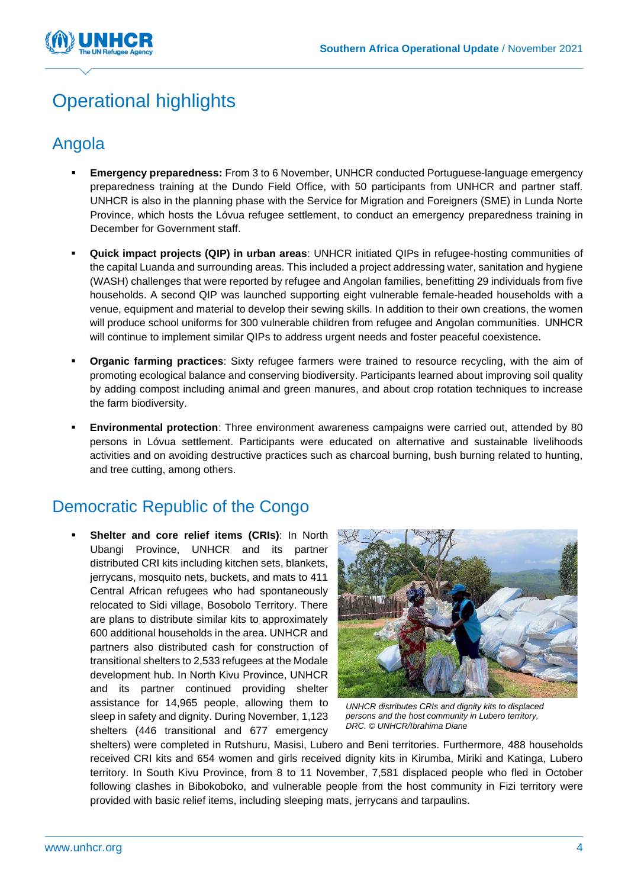

# Operational highlights

### Angola

- **Emergency preparedness:** From 3 to 6 November, UNHCR conducted Portuguese-language emergency preparedness training at the Dundo Field Office, with 50 participants from UNHCR and partner staff. UNHCR is also in the planning phase with the Service for Migration and Foreigners (SME) in Lunda Norte Province, which hosts the Lóvua refugee settlement, to conduct an emergency preparedness training in December for Government staff.
- **Quick impact projects (QIP) in urban areas**: UNHCR initiated QIPs in refugee-hosting communities of the capital Luanda and surrounding areas. This included a project addressing water, sanitation and hygiene (WASH) challenges that were reported by refugee and Angolan families, benefitting 29 individuals from five households. A second QIP was launched supporting eight vulnerable female-headed households with a venue, equipment and material to develop their sewing skills. In addition to their own creations, the women will produce school uniforms for 300 vulnerable children from refugee and Angolan communities.  UNHCR will continue to implement similar QIPs to address urgent needs and foster peaceful coexistence.
- **Organic farming practices**: Sixty refugee farmers were trained to resource recycling, with the aim of promoting ecological balance and conserving biodiversity. Participants learned about improving soil quality by adding compost including animal and green manures, and about crop rotation techniques to increase the farm biodiversity.
- **Environmental protection**: Three environment awareness campaigns were carried out, attended by 80 persons in Lóvua settlement. Participants were educated on alternative and sustainable livelihoods activities and on avoiding destructive practices such as charcoal burning, bush burning related to hunting, and tree cutting, among others.

### Democratic Republic of the Congo

**Shelter and core relief items (CRIs): In North** Ubangi Province, UNHCR and its partner distributed CRI kits including kitchen sets, blankets, jerrycans, mosquito nets, buckets, and mats to 411 Central African refugees who had spontaneously relocated to Sidi village, Bosobolo Territory. There are plans to distribute similar kits to approximately 600 additional households in the area. UNHCR and partners also distributed cash for construction of transitional shelters to 2,533 refugees at the Modale development hub. In North Kivu Province, UNHCR and its partner continued providing shelter assistance for 14,965 people, allowing them to sleep in safety and dignity. During November, 1,123 shelters (446 transitional and 677 emergency



*UNHCR distributes CRIs and dignity kits to displaced persons and the host community in Lubero territory, DRC. © UNHCR/Ibrahima Diane*

shelters) were completed in Rutshuru, Masisi, Lubero and Beni territories. Furthermore, 488 households received CRI kits and 654 women and girls received dignity kits in Kirumba, Miriki and Katinga, Lubero territory. In South Kivu Province, from 8 to 11 November, 7,581 displaced people who fled in October following clashes in Bibokoboko, and vulnerable people from the host community in Fizi territory were provided with basic relief items, including sleeping mats, jerrycans and tarpaulins.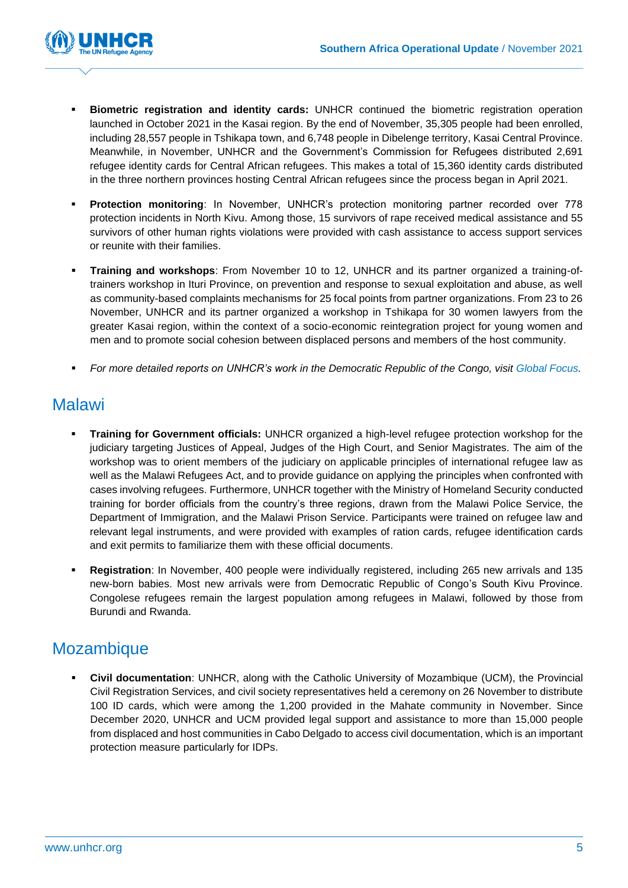

- **Biometric registration and identity cards:** UNHCR continued the biometric registration operation launched in October 2021 in the Kasai region. By the end of November, 35,305 people had been enrolled, including 28,557 people in Tshikapa town, and 6,748 people in Dibelenge territory, Kasai Central Province. Meanwhile, in November, UNHCR and the Government's Commission for Refugees distributed 2,691 refugee identity cards for Central African refugees. This makes a total of 15,360 identity cards distributed in the three northern provinces hosting Central African refugees since the process began in April 2021.
- **Protection monitoring**: In November, UNHCR's protection monitoring partner recorded over 778 protection incidents in North Kivu. Among those, 15 survivors of rape received medical assistance and 55 survivors of other human rights violations were provided with cash assistance to access support services or reunite with their families.
- **Training and workshops**: From November 10 to 12, UNHCR and its partner organized a training-oftrainers workshop in Ituri Province, on prevention and response to sexual exploitation and abuse, as well as community-based complaints mechanisms for 25 focal points from partner organizations. From 23 to 26 November, UNHCR and its partner organized a workshop in Tshikapa for 30 women lawyers from the greater Kasai region, within the context of a socio-economic reintegration project for young women and men and to promote social cohesion between displaced persons and members of the host community.
- *For more detailed reports on UNHCR's work in the Democratic Republic of the Congo, visit [Global Focus.](https://reporting.unhcr.org/drc)*

#### Malawi

- **Training for Government officials:** UNHCR organized a high-level refugee protection workshop for the judiciary targeting Justices of Appeal, Judges of the High Court, and Senior Magistrates. The aim of the workshop was to orient members of the judiciary on applicable principles of international refugee law as well as the Malawi Refugees Act, and to provide guidance on applying the principles when confronted with cases involving refugees. Furthermore, UNHCR together with the Ministry of Homeland Security conducted training for border officials from the country's three regions, drawn from the Malawi Police Service, the Department of Immigration, and the Malawi Prison Service. Participants were trained on refugee law and relevant legal instruments, and were provided with examples of ration cards, refugee identification cards and exit permits to familiarize them with these official documents.
- **Registration**: In November, 400 people were individually registered, including 265 new arrivals and 135 new-born babies. Most new arrivals were from Democratic Republic of Congo's South Kivu Province. Congolese refugees remain the largest population among refugees in Malawi, followed by those from Burundi and Rwanda.

#### Mozambique

**Civil documentation**: UNHCR, along with the Catholic University of Mozambique (UCM), the Provincial Civil Registration Services, and civil society representatives held a ceremony on 26 November to distribute 100 ID cards, which were among the 1,200 provided in the Mahate community in November. Since December 2020, UNHCR and UCM provided legal support and assistance to more than 15,000 people from displaced and host communities in Cabo Delgado to access civil documentation, which is an important protection measure particularly for IDPs.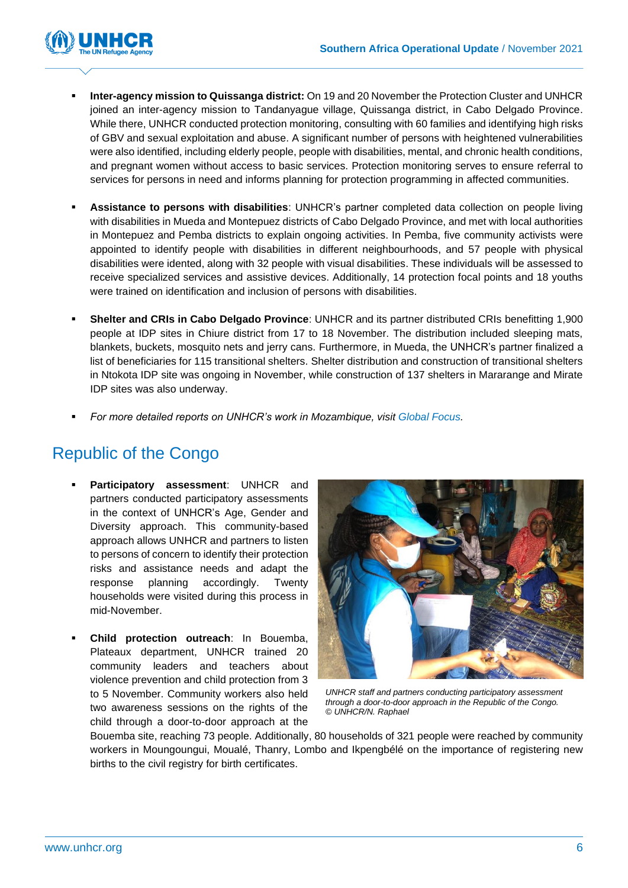

- **Inter-agency mission to Quissanga district:** On 19 and 20 November the Protection Cluster and UNHCR joined an inter-agency mission to Tandanyague village, Quissanga district, in Cabo Delgado Province. While there, UNHCR conducted protection monitoring, consulting with 60 families and identifying high risks of GBV and sexual exploitation and abuse. A significant number of persons with heightened vulnerabilities were also identified, including elderly people, people with disabilities, mental, and chronic health conditions, and pregnant women without access to basic services. Protection monitoring serves to ensure referral to services for persons in need and informs planning for protection programming in affected communities.
- **Assistance to persons with disabilities**: UNHCR's partner completed data collection on people living with disabilities in Mueda and Montepuez districts of Cabo Delgado Province, and met with local authorities in Montepuez and Pemba districts to explain ongoing activities. In Pemba, five community activists were appointed to identify people with disabilities in different neighbourhoods, and 57 people with physical disabilities were idented, along with 32 people with visual disabilities. These individuals will be assessed to receive specialized services and assistive devices. Additionally, 14 protection focal points and 18 youths were trained on identification and inclusion of persons with disabilities.
- **Shelter and CRIs in Cabo Delgado Province**: UNHCR and its partner distributed CRIs benefitting 1,900 people at IDP sites in Chiure district from 17 to 18 November. The distribution included sleeping mats, blankets, buckets, mosquito nets and jerry cans. Furthermore, in Mueda, the UNHCR's partner finalized a list of beneficiaries for 115 transitional shelters. Shelter distribution and construction of transitional shelters in Ntokota IDP site was ongoing in November, while construction of 137 shelters in Mararange and Mirate IDP sites was also underway.
- *For more detailed reports on UNHCR's work in Mozambique, visit [Global Focus.](https://reporting.unhcr.org/mozambique)*

### Republic of the Congo

- **Participatory assessment: UNHCR and** partners conducted participatory assessments in the context of UNHCR's Age, Gender and Diversity approach. This community-based approach allows UNHCR and partners to listen to persons of concern to identify their protection risks and assistance needs and adapt the response planning accordingly. Twenty households were visited during this process in mid-November.
- **Child protection outreach:** In Bouemba, Plateaux department, UNHCR trained 20 community leaders and teachers about violence prevention and child protection from 3 to 5 November. Community workers also held two awareness sessions on the rights of the child through a door-to-door approach at the



*UNHCR staff and partners conducting participatory assessment through a door-to-door approach in the Republic of the Congo. © UNHCR/N. Raphael*

Bouemba site, reaching 73 people. Additionally, 80 households of 321 people were reached by community workers in Moungoungui, Moualé, Thanry, Lombo and Ikpengbélé on the importance of registering new births to the civil registry for birth certificates.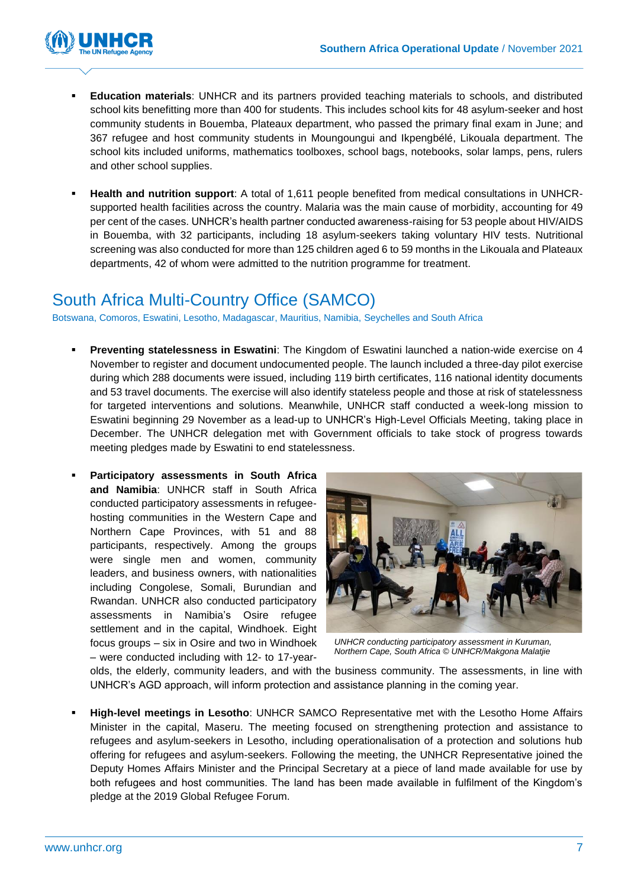

- **Education materials**: UNHCR and its partners provided teaching materials to schools, and distributed school kits benefitting more than 400 for students. This includes school kits for 48 asylum-seeker and host community students in Bouemba, Plateaux department, who passed the primary final exam in June; and 367 refugee and host community students in Moungoungui and Ikpengbélé, Likouala department. The school kits included uniforms, mathematics toolboxes, school bags, notebooks, solar lamps, pens, rulers and other school supplies.
- **Health and nutrition support**: A total of 1,611 people benefited from medical consultations in UNHCRsupported health facilities across the country. Malaria was the main cause of morbidity, accounting for 49 per cent of the cases. UNHCR's health partner conducted awareness-raising for 53 people about HIV/AIDS in Bouemba, with 32 participants, including 18 asylum-seekers taking voluntary HIV tests. Nutritional screening was also conducted for more than 125 children aged 6 to 59 months in the Likouala and Plateaux departments, 42 of whom were admitted to the nutrition programme for treatment.

#### South Africa Multi-Country Office (SAMCO)

Botswana, Comoros, Eswatini, Lesotho, Madagascar, Mauritius, Namibia, Seychelles and South Africa

- **Preventing statelessness in Eswatini**: The Kingdom of Eswatini launched a nation-wide exercise on 4 November to register and document undocumented people. The launch included a three-day pilot exercise during which 288 documents were issued, including 119 birth certificates, 116 national identity documents and 53 travel documents. The exercise will also identify stateless people and those at risk of statelessness for targeted interventions and solutions. Meanwhile, UNHCR staff conducted a week-long mission to Eswatini beginning 29 November as a lead-up to UNHCR's High-Level Officials Meeting, taking place in December. The UNHCR delegation met with Government officials to take stock of progress towards meeting pledges made by Eswatini to end statelessness.
- **Participatory assessments in South Africa and Namibia**: UNHCR staff in South Africa conducted participatory assessments in refugeehosting communities in the Western Cape and Northern Cape Provinces, with 51 and 88 participants, respectively. Among the groups were single men and women, community leaders, and business owners, with nationalities including Congolese, Somali, Burundian and Rwandan. UNHCR also conducted participatory assessments in Namibia's Osire refugee settlement and in the capital, Windhoek. Eight focus groups – six in Osire and two in Windhoek – were conducted including with 12- to 17-year-



*UNHCR conducting participatory assessment in Kuruman, Northern Cape, South Africa © UNHCR/Makgona Malatjie*

olds, the elderly, community leaders, and with the business community. The assessments, in line with UNHCR's AGD approach, will inform protection and assistance planning in the coming year.

▪ **High-level meetings in Lesotho**: UNHCR SAMCO Representative met with the Lesotho Home Affairs Minister in the capital, Maseru. The meeting focused on strengthening protection and assistance to refugees and asylum-seekers in Lesotho, including operationalisation of a protection and solutions hub offering for refugees and asylum-seekers. Following the meeting, the UNHCR Representative joined the Deputy Homes Affairs Minister and the Principal Secretary at a piece of land made available for use by both refugees and host communities. The land has been made available in fulfilment of the Kingdom's pledge at the 2019 Global Refugee Forum.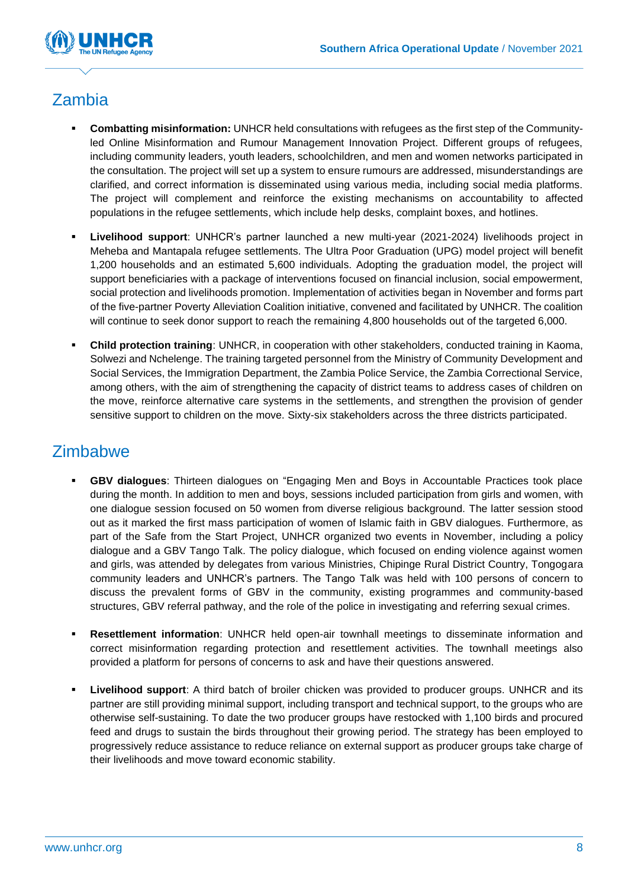

### Zambia

- **Combatting misinformation: UNHCR held consultations with refugees as the first step of the Community**led Online Misinformation and Rumour Management Innovation Project. Different groups of refugees, including community leaders, youth leaders, schoolchildren, and men and women networks participated in the consultation. The project will set up a system to ensure rumours are addressed, misunderstandings are clarified, and correct information is disseminated using various media, including social media platforms. The project will complement and reinforce the existing mechanisms on accountability to affected populations in the refugee settlements, which include help desks, complaint boxes, and hotlines.
- **Livelihood support**: UNHCR's partner launched a new multi-year (2021-2024) livelihoods project in Meheba and Mantapala refugee settlements. The Ultra Poor Graduation (UPG) model project will benefit 1,200 households and an estimated 5,600 individuals. Adopting the graduation model, the project will support beneficiaries with a package of interventions focused on financial inclusion, social empowerment, social protection and livelihoods promotion. Implementation of activities began in November and forms part of the five-partner Poverty Alleviation Coalition initiative, convened and facilitated by UNHCR. The coalition will continue to seek donor support to reach the remaining 4,800 households out of the targeted 6,000.
- **ERIM Child protection training**: UNHCR, in cooperation with other stakeholders, conducted training in Kaoma, Solwezi and Nchelenge. The training targeted personnel from the Ministry of Community Development and Social Services, the Immigration Department, the Zambia Police Service, the Zambia Correctional Service, among others, with the aim of strengthening the capacity of district teams to address cases of children on the move, reinforce alternative care systems in the settlements, and strengthen the provision of gender sensitive support to children on the move. Sixty-six stakeholders across the three districts participated.

### **Zimbabwe**

- **GBV dialogues:** Thirteen dialogues on "Engaging Men and Boys in Accountable Practices took place during the month. In addition to men and boys, sessions included participation from girls and women, with one dialogue session focused on 50 women from diverse religious background. The latter session stood out as it marked the first mass participation of women of Islamic faith in GBV dialogues. Furthermore, as part of the Safe from the Start Project, UNHCR organized two events in November, including a policy dialogue and a GBV Tango Talk. The policy dialogue, which focused on ending violence against women and girls, was attended by delegates from various Ministries, Chipinge Rural District Country, Tongogara community leaders and UNHCR's partners. The Tango Talk was held with 100 persons of concern to discuss the prevalent forms of GBV in the community, existing programmes and community-based structures, GBV referral pathway, and the role of the police in investigating and referring sexual crimes.
- **Resettlement information**: UNHCR held open-air townhall meetings to disseminate information and correct misinformation regarding protection and resettlement activities. The townhall meetings also provided a platform for persons of concerns to ask and have their questions answered.
- **Livelihood support:** A third batch of broiler chicken was provided to producer groups. UNHCR and its partner are still providing minimal support, including transport and technical support, to the groups who are otherwise self-sustaining. To date the two producer groups have restocked with 1,100 birds and procured feed and drugs to sustain the birds throughout their growing period. The strategy has been employed to progressively reduce assistance to reduce reliance on external support as producer groups take charge of their livelihoods and move toward economic stability.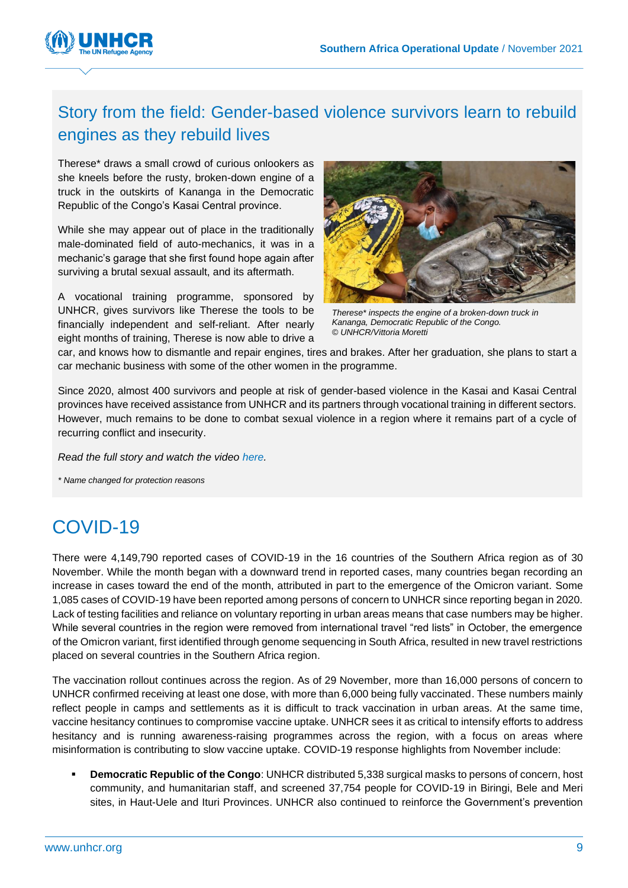

### Story from the field: Gender-based violence survivors learn to rebuild engines as they rebuild lives

Therese\* draws a small crowd of curious onlookers as she kneels before the rusty, broken-down engine of a truck in the outskirts of Kananga in the Democratic Republic of the Congo's Kasai Central province.

While she may appear out of place in the traditionally male-dominated field of auto-mechanics, it was in a mechanic's garage that she first found hope again after surviving a brutal sexual assault, and its aftermath.

A vocational training programme, sponsored by UNHCR, gives survivors like Therese the tools to be financially independent and self-reliant. After nearly eight months of training, Therese is now able to drive a



*Therese\* inspects the engine of a broken-down truck in Kananga, Democratic Republic of the Congo. © UNHCR/Vittoria Moretti*

car, and knows how to dismantle and repair engines, tires and brakes. After her graduation, she plans to start a car mechanic business with some of the other women in the programme.

Since 2020, almost 400 survivors and people at risk of gender-based violence in the Kasai and Kasai Central provinces have received assistance from UNHCR and its partners through vocational training in different sectors. However, much remains to be done to combat sexual violence in a region where it remains part of a cycle of recurring conflict and insecurity.

*Read the full story and watch the video [here.](https://www.unhcr.org/afr/news/stories/2021/12/61b3015d4/gender-based-violence-survivors-learn-rebuild-engines-rebuild-lives.html)* 

*\* Name changed for protection reasons*

# COVID-19

There were 4,149,790 reported cases of COVID-19 in the 16 countries of the Southern Africa region as of 30 November. While the month began with a downward trend in reported cases, many countries began recording an increase in cases toward the end of the month, attributed in part to the emergence of the Omicron variant. Some 1,085 cases of COVID-19 have been reported among persons of concern to UNHCR since reporting began in 2020. Lack of testing facilities and reliance on voluntary reporting in urban areas means that case numbers may be higher. While several countries in the region were removed from international travel "red lists" in October, the emergence of the Omicron variant, first identified through genome sequencing in South Africa, resulted in new travel restrictions placed on several countries in the Southern Africa region.

The vaccination rollout continues across the region. As of 29 November, more than 16,000 persons of concern to UNHCR confirmed receiving at least one dose, with more than 6,000 being fully vaccinated. These numbers mainly reflect people in camps and settlements as it is difficult to track vaccination in urban areas. At the same time, vaccine hesitancy continues to compromise vaccine uptake. UNHCR sees it as critical to intensify efforts to address hesitancy and is running awareness-raising programmes across the region, with a focus on areas where misinformation is contributing to slow vaccine uptake. COVID-19 response highlights from November include:

**Democratic Republic of the Congo: UNHCR** distributed 5,338 surgical masks to persons of concern, host community, and humanitarian staff, and screened 37,754 people for COVID-19 in Biringi, Bele and Meri sites, in Haut-Uele and Ituri Provinces. UNHCR also continued to reinforce the Government's prevention